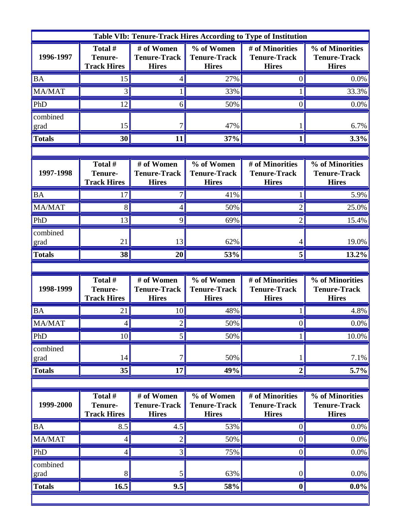| Table VIb: Tenure-Track Hires According to Type of Institution |                                                 |                                                   |                                                   |                                                        |                                                        |  |  |  |
|----------------------------------------------------------------|-------------------------------------------------|---------------------------------------------------|---------------------------------------------------|--------------------------------------------------------|--------------------------------------------------------|--|--|--|
| 1996-1997                                                      | Total #<br><b>Tenure-</b><br><b>Track Hires</b> | # of Women<br><b>Tenure-Track</b><br><b>Hires</b> | % of Women<br><b>Tenure-Track</b><br><b>Hires</b> | # of Minorities<br><b>Tenure-Track</b><br><b>Hires</b> | % of Minorities<br><b>Tenure-Track</b><br><b>Hires</b> |  |  |  |
| <b>BA</b>                                                      | 15                                              | 4                                                 | 27%                                               | 0                                                      | 0.0%                                                   |  |  |  |
| MA/MAT                                                         | 3                                               |                                                   | 33%                                               |                                                        | 33.3%                                                  |  |  |  |
| PhD                                                            | 12                                              | 6                                                 | 50%                                               | 0                                                      | $0.0\%$                                                |  |  |  |
| combined<br>grad                                               | 15                                              |                                                   | 47%                                               |                                                        | 6.7%                                                   |  |  |  |
| <b>Totals</b>                                                  | 30                                              | 11                                                | 37%                                               | 1                                                      | 3.3%                                                   |  |  |  |
|                                                                |                                                 |                                                   |                                                   |                                                        |                                                        |  |  |  |
| 1997-1998                                                      | Total #<br><b>Tenure-</b><br><b>Track Hires</b> | # of Women<br><b>Tenure-Track</b><br><b>Hires</b> | % of Women<br><b>Tenure-Track</b><br><b>Hires</b> | # of Minorities<br><b>Tenure-Track</b><br><b>Hires</b> | % of Minorities<br><b>Tenure-Track</b><br><b>Hires</b> |  |  |  |
| <b>BA</b>                                                      | 17                                              |                                                   | 41%                                               |                                                        | 5.9%                                                   |  |  |  |
| MA/MAT                                                         | 8                                               | 4                                                 | 50%                                               | $\overline{2}$                                         | 25.0%                                                  |  |  |  |
| PhD                                                            | 13                                              | 9                                                 | 69%                                               | $\overline{2}$                                         | 15.4%                                                  |  |  |  |
| combined<br>grad                                               | 21                                              | 13                                                | 62%                                               | 4                                                      | 19.0%                                                  |  |  |  |
| <b>Totals</b>                                                  | 38                                              | 20                                                | 53%                                               | 5                                                      | 13.2%                                                  |  |  |  |
|                                                                |                                                 |                                                   |                                                   |                                                        |                                                        |  |  |  |
| 1998-1999                                                      | Total #<br><b>Tenure-</b><br><b>Track Hires</b> | # of Women<br><b>Tenure-Track</b><br><b>Hires</b> | % of Women<br><b>Tenure-Track</b><br><b>Hires</b> | # of Minorities<br><b>Tenure-Track</b><br><b>Hires</b> | % of Minorities<br><b>Tenure-Track</b><br><b>Hires</b> |  |  |  |
| <b>BA</b>                                                      | 21                                              | 10                                                | 48%                                               |                                                        | 4.8%                                                   |  |  |  |
| <b>MA/MAT</b>                                                  | 4                                               | $\overline{2}$                                    | 50%                                               | $\boldsymbol{0}$                                       | $0.0\%$                                                |  |  |  |
| PhD                                                            | 10                                              | 5                                                 | 50%                                               | 1                                                      | 10.0%                                                  |  |  |  |
| combined<br>grad                                               | 14                                              | 7                                                 | 50%                                               |                                                        | 7.1%                                                   |  |  |  |
| <b>Totals</b>                                                  | 35                                              | 17                                                | 49%                                               | $\boldsymbol{2}$                                       | 5.7%                                                   |  |  |  |
|                                                                |                                                 |                                                   |                                                   |                                                        |                                                        |  |  |  |
| 1999-2000                                                      | Total #<br><b>Tenure-</b><br><b>Track Hires</b> | # of Women<br><b>Tenure-Track</b><br><b>Hires</b> | % of Women<br><b>Tenure-Track</b><br><b>Hires</b> | # of Minorities<br><b>Tenure-Track</b><br><b>Hires</b> | % of Minorities<br><b>Tenure-Track</b><br><b>Hires</b> |  |  |  |
| <b>BA</b>                                                      | 8.5                                             | 4.5                                               | 53%                                               | 0                                                      | 0.0%                                                   |  |  |  |
| MA/MAT                                                         | 4                                               | $\overline{2}$                                    | 50%                                               | 0                                                      | $0.0\%$                                                |  |  |  |
| PhD                                                            | 4                                               | 3                                                 | 75%                                               | 0                                                      | $0.0\%$                                                |  |  |  |
|                                                                |                                                 |                                                   |                                                   |                                                        |                                                        |  |  |  |
| combined<br>grad                                               | 8                                               | 5                                                 | 63%                                               | $\boldsymbol{0}$                                       | $0.0\%$                                                |  |  |  |